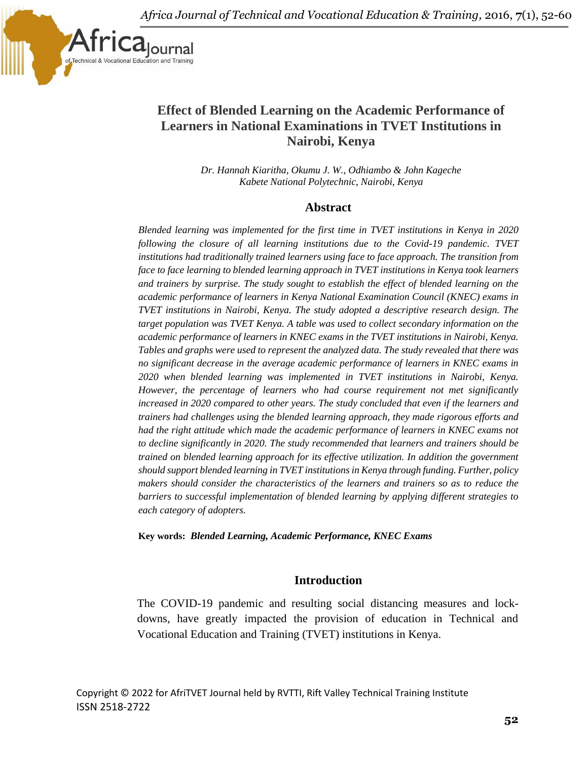*Africa Journal of Technical and Vocational Education & Training,* 2016, **7**(1), 52-60



## **Effect of Blended Learning on the Academic Performance of Learners in National Examinations in TVET Institutions in Nairobi, Kenya**

*Dr. Hannah Kiaritha, Okumu J. W., Odhiambo & John Kageche Kabete National Polytechnic, Nairobi, Kenya*

#### **Abstract**

*Blended learning was implemented for the first time in TVET institutions in Kenya in 2020 following the closure of all learning institutions due to the Covid-19 pandemic. TVET institutions had traditionally trained learners using face to face approach. The transition from face to face learning to blended learning approach in TVET institutions in Kenya took learners and trainers by surprise. The study sought to establish the effect of blended learning on the academic performance of learners in Kenya National Examination Council (KNEC) exams in TVET institutions in Nairobi, Kenya. The study adopted a descriptive research design. The target population was TVET Kenya. A table was used to collect secondary information on the academic performance of learners in KNEC exams in the TVET institutions in Nairobi, Kenya. Tables and graphs were used to represent the analyzed data. The study revealed that there was no significant decrease in the average academic performance of learners in KNEC exams in 2020 when blended learning was implemented in TVET institutions in Nairobi, Kenya. However, the percentage of learners who had course requirement not met significantly increased in 2020 compared to other years. The study concluded that even if the learners and trainers had challenges using the blended learning approach, they made rigorous efforts and had the right attitude which made the academic performance of learners in KNEC exams not to decline significantly in 2020. The study recommended that learners and trainers should be trained on blended learning approach for its effective utilization. In addition the government should support blended learning in TVET institutions in Kenya through funding. Further, policy makers should consider the characteristics of the learners and trainers so as to reduce the barriers to successful implementation of blended learning by applying different strategies to each category of adopters.*

**Key words:** *Blended Learning, Academic Performance, KNEC Exams*

### **Introduction**

The COVID-19 pandemic and resulting social distancing measures and lockdowns, have greatly impacted the provision of education in Technical and Vocational Education and Training (TVET) institutions in Kenya.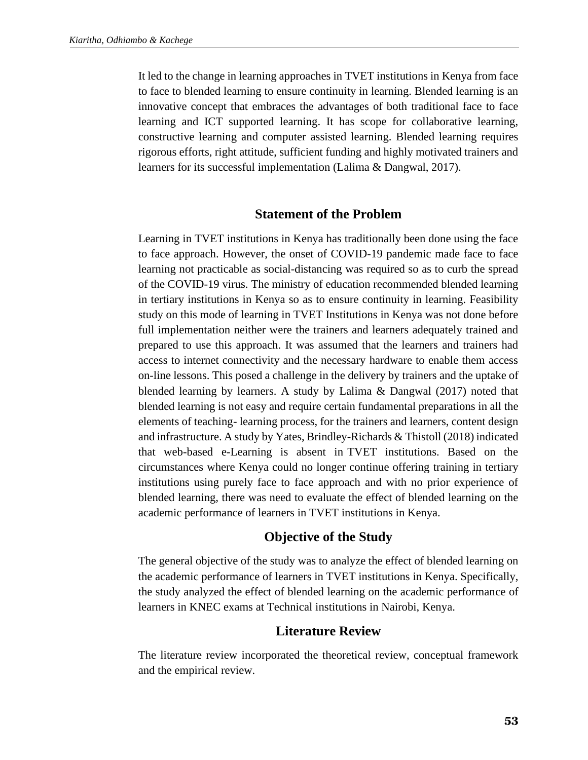It led to the change in learning approaches in TVET institutions in Kenya from face to face to blended learning to ensure continuity in learning. Blended learning is an innovative concept that embraces the advantages of both traditional face to face learning and ICT supported learning. It has scope for collaborative learning, constructive learning and computer assisted learning. Blended learning requires rigorous efforts, right attitude, sufficient funding and highly motivated trainers and learners for its successful implementation (Lalima & Dangwal, 2017).

### **Statement of the Problem**

Learning in TVET institutions in Kenya has traditionally been done using the face to face approach. However, the onset of COVID-19 pandemic made face to face learning not practicable as social-distancing was required so as to curb the spread of the COVID-19 virus. The ministry of education recommended blended learning in tertiary institutions in Kenya so as to ensure continuity in learning. Feasibility study on this mode of learning in TVET Institutions in Kenya was not done before full implementation neither were the trainers and learners adequately trained and prepared to use this approach. It was assumed that the learners and trainers had access to internet connectivity and the necessary hardware to enable them access on-line lessons. This posed a challenge in the delivery by trainers and the uptake of blended learning by learners. A study by Lalima & Dangwal (2017) noted that blended learning is not easy and require certain fundamental preparations in all the elements of teaching- learning process, for the trainers and learners, content design and infrastructure. A study by Yates, Brindley-Richards & Thistoll (2018) indicated that web-based e-Learning is absent in TVET institutions. Based on the circumstances where Kenya could no longer continue offering training in tertiary institutions using purely face to face approach and with no prior experience of blended learning, there was need to evaluate the effect of blended learning on the academic performance of learners in TVET institutions in Kenya.

#### **Objective of the Study**

The general objective of the study was to analyze the effect of blended learning on the academic performance of learners in TVET institutions in Kenya. Specifically, the study analyzed the effect of blended learning on the academic performance of learners in KNEC exams at Technical institutions in Nairobi, Kenya.

### **Literature Review**

The literature review incorporated the theoretical review, conceptual framework and the empirical review.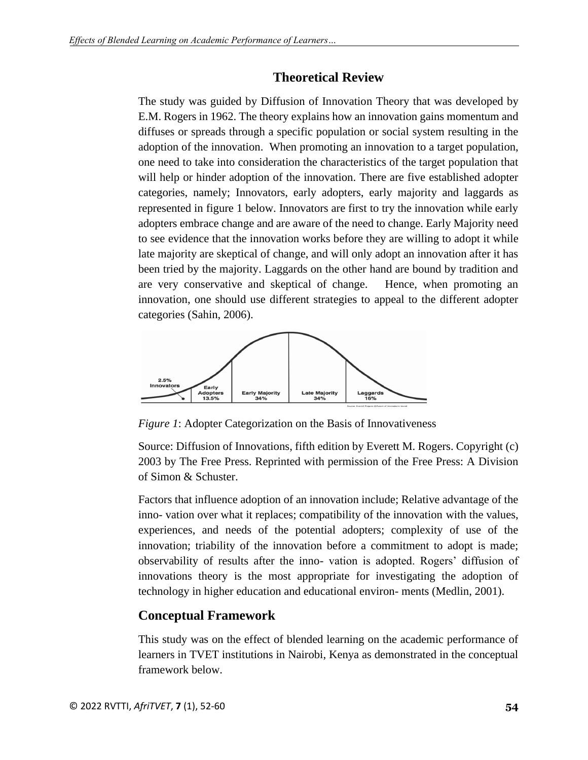## **Theoretical Review**

The study was guided by Diffusion of Innovation Theory that was developed by E.M. Rogers in 1962. The theory explains how an innovation gains momentum and diffuses or spreads through a specific population or social system resulting in the adoption of the innovation. When promoting an innovation to a target population, one need to take into consideration the characteristics of the target population that will help or hinder adoption of the innovation. There are five established adopter categories, namely; Innovators, early adopters, early majority and laggards as represented in figure 1 below. Innovators are first to try the innovation while early adopters embrace change and are aware of the need to change. Early Majority need to see evidence that the innovation works before they are willing to adopt it while late majority are skeptical of change, and will only adopt an innovation after it has been tried by the majority. Laggards on the other hand are bound by tradition and are very conservative and skeptical of change. Hence, when promoting an innovation, one should use different strategies to appeal to the different adopter categories (Sahin, 2006).



*Figure 1*: Adopter Categorization on the Basis of Innovativeness

Source: Diffusion of Innovations, fifth edition by Everett M. Rogers. Copyright (c) 2003 by The Free Press. Reprinted with permission of the Free Press: A Division of Simon & Schuster.

Factors that influence adoption of an innovation include; Relative advantage of the inno- vation over what it replaces; compatibility of the innovation with the values, experiences, and needs of the potential adopters; complexity of use of the innovation; triability of the innovation before a commitment to adopt is made; observability of results after the inno- vation is adopted. Rogers' diffusion of innovations theory is the most appropriate for investigating the adoption of technology in higher education and educational environ- ments (Medlin, 2001).

# **Conceptual Framework**

This study was on the effect of blended learning on the academic performance of learners in TVET institutions in Nairobi, Kenya as demonstrated in the conceptual framework below.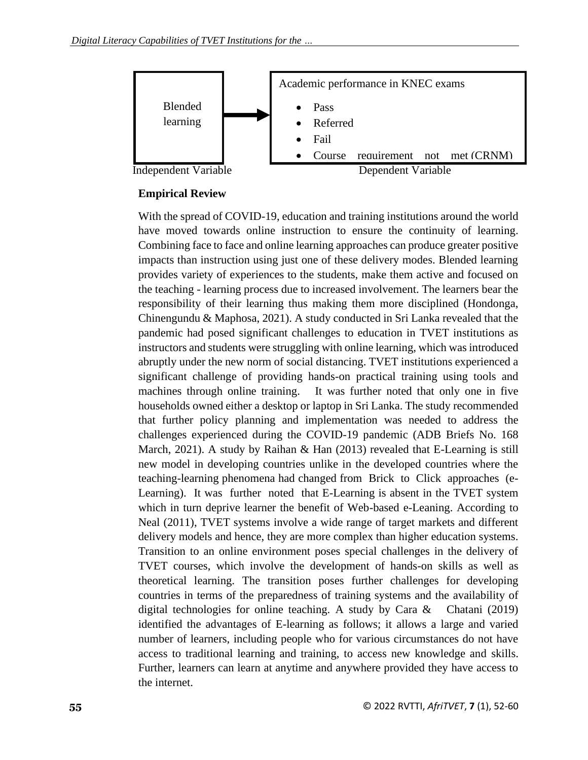

### **Empirical Review**

With the spread of COVID-19, education and training institutions around the world have moved towards online instruction to ensure the continuity of learning. Combining face to face and online learning approaches can produce greater positive impacts than instruction using just one of these delivery modes. Blended learning provides variety of experiences to the students, make them active and focused on the teaching - learning process due to increased involvement. The learners bear the responsibility of their learning thus making them more disciplined (Hondonga, Chinengundu & Maphosa, 2021). A study conducted in Sri Lanka revealed that the pandemic had posed significant challenges to education in TVET institutions as instructors and students were struggling with online learning, which was introduced abruptly under the new norm of social distancing. TVET institutions experienced a significant challenge of providing hands-on practical training using tools and machines through online training. It was further noted that only one in five households owned either a desktop or laptop in Sri Lanka. The study recommended that further policy planning and implementation was needed to address the challenges experienced during the COVID-19 pandemic (ADB Briefs No. 168 March, 2021). A study by Raihan & Han (2013) revealed that E-Learning is still new model in developing countries unlike in the developed countries where the teaching-learning phenomena had changed from Brick to Click approaches (e-Learning). It was further noted that E-Learning is absent in the TVET system which in turn deprive learner the benefit of Web-based e-Leaning. According to Neal (2011), TVET systems involve a wide range of target markets and different delivery models and hence, they are more complex than higher education systems. Transition to an online environment poses special challenges in the delivery of TVET courses, which involve the development of hands-on skills as well as theoretical learning. The transition poses further challenges for developing countries in terms of the preparedness of training systems and the availability of digital technologies for online teaching. A study by Cara & Chatani (2019) identified the advantages of E-learning as follows; it allows a large and varied number of learners, including people who for various circumstances do not have access to traditional learning and training, to access new knowledge and skills. Further, learners can learn at anytime and anywhere provided they have access to the internet.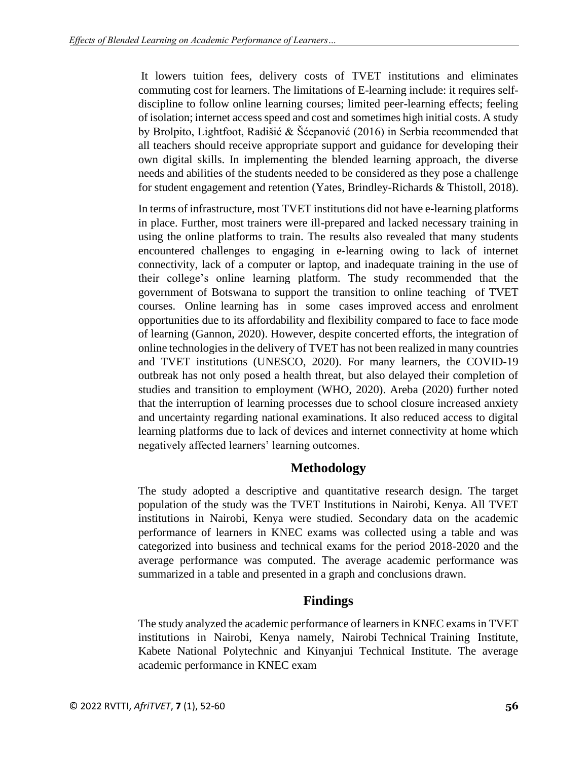It lowers tuition fees, delivery costs of TVET institutions and eliminates commuting cost for learners. The limitations of E-learning include: it requires selfdiscipline to follow online learning courses; limited peer-learning effects; feeling of isolation; internet access speed and cost and sometimes high initial costs. A study by Brolpito, Lightfoot, Radišić & Šćepanović (2016) in Serbia recommended that all teachers should receive appropriate support and guidance for developing their own digital skills. In implementing the blended learning approach, the diverse needs and abilities of the students needed to be considered as they pose a challenge for student engagement and retention (Yates, Brindley-Richards & Thistoll, 2018).

In terms of infrastructure, most TVET institutions did not have e-learning platforms in place. Further, most trainers were ill-prepared and lacked necessary training in using the online platforms to train. The results also revealed that many students encountered challenges to engaging in e-learning owing to lack of internet connectivity, lack of a computer or laptop, and inadequate training in the use of their college's online learning platform. The study recommended that the government of Botswana to support the transition to online teaching of TVET courses. Online learning has in some cases improved access and enrolment opportunities due to its affordability and flexibility compared to face to face mode of learning (Gannon, 2020). However, despite concerted efforts, the integration of online technologies in the delivery of TVET has not been realized in many countries and TVET institutions (UNESCO, 2020). For many learners, the COVID-19 outbreak has not only posed a health threat, but also delayed their completion of studies and transition to employment (WHO, 2020). Areba (2020) further noted that the interruption of learning processes due to school closure increased anxiety and uncertainty regarding national examinations. It also reduced access to digital learning platforms due to lack of devices and internet connectivity at home which negatively affected learners' learning outcomes.

## **Methodology**

The study adopted a descriptive and quantitative research design. The target population of the study was the TVET Institutions in Nairobi, Kenya. All TVET institutions in Nairobi, Kenya were studied. Secondary data on the academic performance of learners in KNEC exams was collected using a table and was categorized into business and technical exams for the period 2018-2020 and the average performance was computed. The average academic performance was summarized in a table and presented in a graph and conclusions drawn.

## **Findings**

The study analyzed the academic performance of learners in KNEC exams in TVET institutions in Nairobi, Kenya namely, Nairobi Technical Training Institute, Kabete National Polytechnic and Kinyanjui Technical Institute. The average academic performance in KNEC exam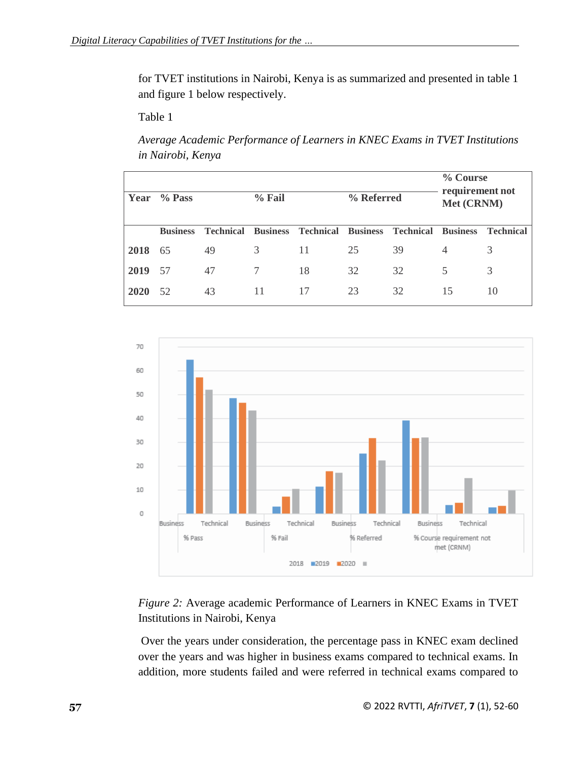for TVET institutions in Nairobi, Kenya is as summarized and presented in table 1 and figure 1 below respectively.

Table 1

*Average Academic Performance of Learners in KNEC Exams in TVET Institutions in Nairobi, Kenya*

| Year | $\%$ Pass       | $%$ Fail |    |                                              | % Referred |                           | % Course<br>requirement not<br>Met (CRNM) |                  |
|------|-----------------|----------|----|----------------------------------------------|------------|---------------------------|-------------------------------------------|------------------|
|      | <b>Business</b> |          |    | <b>Technical Business Technical Business</b> |            | <b>Technical Business</b> |                                           | <b>Technical</b> |
| 2018 | 65              | 49       | 3  | 11                                           | 25         | 39                        | $\overline{4}$                            | 3                |
| 2019 | 57              | 47       |    | 18                                           | 32         | 32                        | 5                                         | 3                |
| 2020 | 52              | 43       | 11 | 17                                           | 23         | 32                        | 15                                        | 10               |





Over the years under consideration, the percentage pass in KNEC exam declined over the years and was higher in business exams compared to technical exams. In addition, more students failed and were referred in technical exams compared to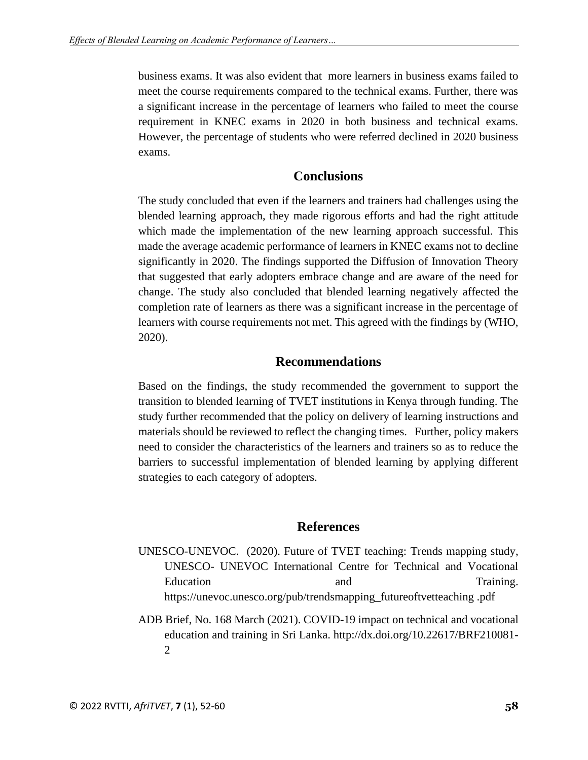business exams. It was also evident that more learners in business exams failed to meet the course requirements compared to the technical exams. Further, there was a significant increase in the percentage of learners who failed to meet the course requirement in KNEC exams in 2020 in both business and technical exams. However, the percentage of students who were referred declined in 2020 business exams.

## **Conclusions**

The study concluded that even if the learners and trainers had challenges using the blended learning approach, they made rigorous efforts and had the right attitude which made the implementation of the new learning approach successful. This made the average academic performance of learners in KNEC exams not to decline significantly in 2020. The findings supported the Diffusion of Innovation Theory that suggested that early adopters embrace change and are aware of the need for change. The study also concluded that blended learning negatively affected the completion rate of learners as there was a significant increase in the percentage of learners with course requirements not met. This agreed with the findings by (WHO, 2020).

### **Recommendations**

Based on the findings, the study recommended the government to support the transition to blended learning of TVET institutions in Kenya through funding. The study further recommended that the policy on delivery of learning instructions and materials should be reviewed to reflect the changing times. Further, policy makers need to consider the characteristics of the learners and trainers so as to reduce the barriers to successful implementation of blended learning by applying different strategies to each category of adopters.

### **References**

- UNESCO-UNEVOC. (2020). Future of TVET teaching: Trends mapping study, UNESCO- UNEVOC International Centre for Technical and Vocational Education and and Training. https://unevoc.unesco.org/pub/trendsmapping\_futureoftvetteaching .pdf
- ADB Brief, No. 168 March (2021). COVID-19 impact on technical and vocational education and training in Sri Lanka. http://dx.doi.org/10.22617/BRF210081- 2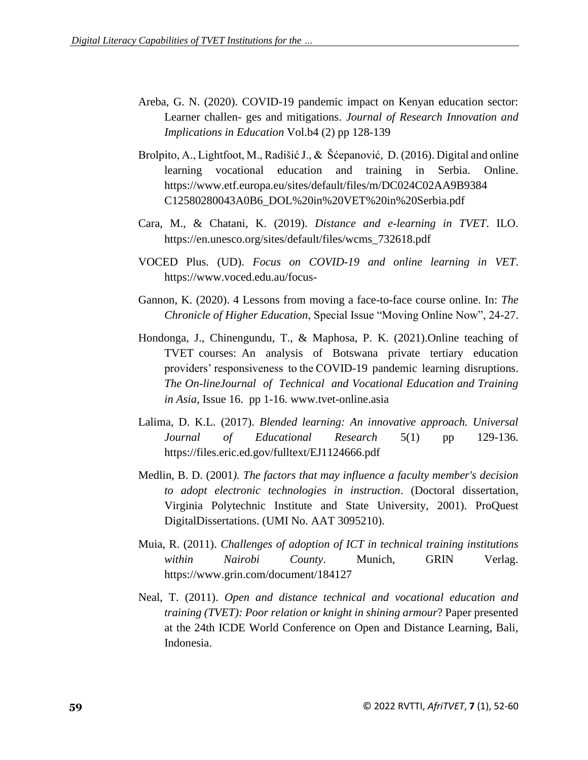- Areba, G. N. (2020). COVID-19 pandemic impact on Kenyan education sector: Learner challen- ges and mitigations. *Journal of Research Innovation and Implications in Education* Vol.b4 (2) pp 128-139
- Brolpito, A., Lightfoot, M., Radišić J., & Šćepanović, D. (2016). Digital and online learning vocational education and training in Serbia. Online. https://www.etf.europa.eu/sites/default/files/m/DC024C02AA9B9384 C12580280043A0B6\_DOL%20in%20VET%20in%20Serbia.pdf
- Cara, M., & Chatani, K. (2019). *Distance and e-learning in TVET*. ILO. https://en.unesco.org/sites/default/files/wcms\_732618.pdf
- VOCED Plus. (UD). *Focus on COVID-19 and online learning in VET*. https://www.voced.edu.au/focus-
- Gannon, K. (2020). 4 Lessons from moving a face-to-face course online. In: *The Chronicle of Higher Education*, Special Issue "Moving Online Now", 24-27.
- Hondonga, J., Chinengundu, T., & Maphosa, P. K. (2021).Online teaching of TVET courses: An analysis of Botswana private tertiary education providers' responsiveness to the COVID-19 pandemic learning disruptions. *The On-lineJournal of Technical and Vocational Education and Training in Asia*, Issue 16. pp 1-16. www.tvet-online.asia
- Lalima, D. K.L. (2017). *Blended learning: An innovative approach. Universal Journal of Educational Research* 5(1) pp 129-136. https://files.eric.ed.gov/fulltext/EJ1124666.pdf
- Medlin, B. D. (2001*). The factors that may influence a faculty member's decision to adopt electronic technologies in instruction*. (Doctoral dissertation, Virginia Polytechnic Institute and State University, 2001). ProQuest DigitalDissertations. (UMI No. AAT 3095210).
- Muia, R. (2011). *Challenges of adoption of ICT in technical training institutions within Nairobi County*. Munich, GRIN Verlag. https://www.grin.com/document/184127
- Neal, T. (2011). *Open and distance technical and vocational education and training (TVET): Poor relation or knight in shining armour*? Paper presented at the 24th ICDE World Conference on Open and Distance Learning, Bali, Indonesia.